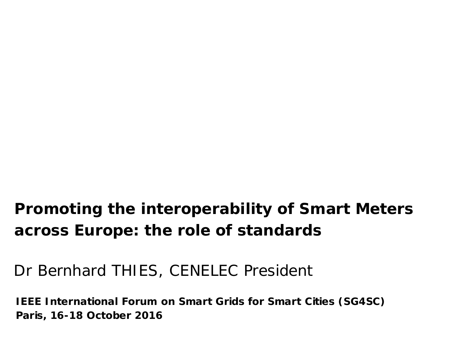**Promoting the interoperability of Smart Meters across Europe: the role of standards**

Dr Bernhard THIES, CENELEC President

*IEEE International Forum on Smart Grids for Smart Cities (SG4SC) Paris, 16-18 October 2016*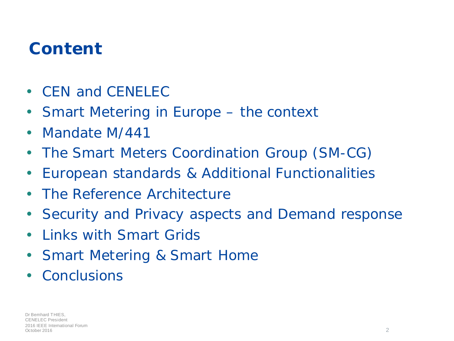#### **Content**

- CFN and CFNFLFC
- Smart Metering in Europe the context
- Mandate M/441
- The Smart Meters Coordination Group (SM-CG)
- European standards & Additional Functionalities
- The Reference Architecture
- Security and Privacy aspects and Demand response
- Links with Smart Grids
- Smart Metering & Smart Home
- Conclusions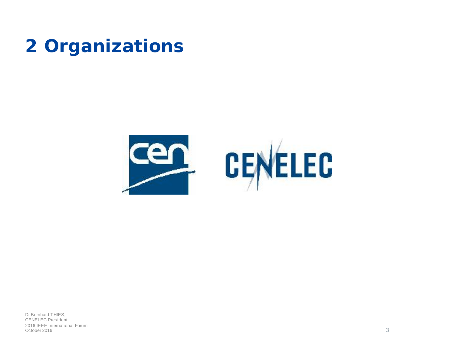**2 Organizations**

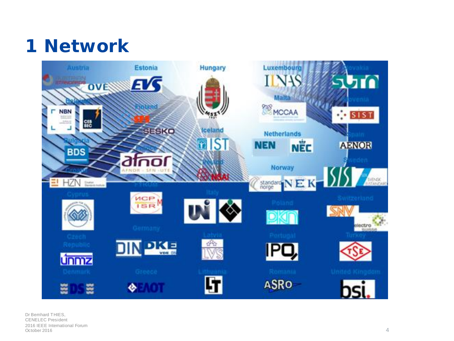# **1 Network**

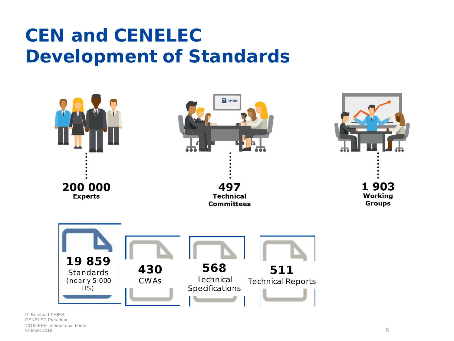# **CEN and CENELEC Development of Standards**

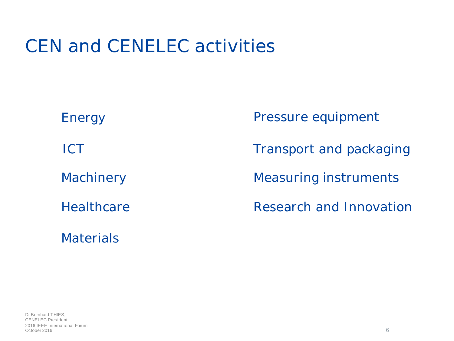#### CEN and CENELEC activities

Energy ICT **Machinery Healthcare Materials** 

Pressure equipment Transport and packaging Measuring instruments Research and Innovation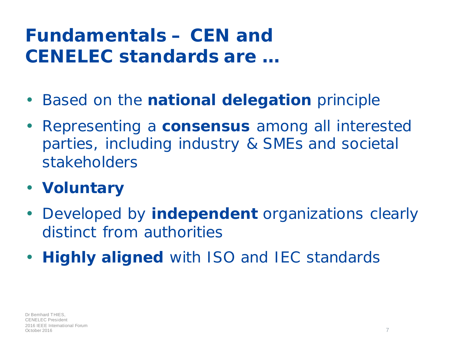# **Fundamentals – CEN and CENELEC standards are …**

- Based on the **national delegation** principle
- Representing a **consensus** among all interested parties, including industry & SMEs and societal stakeholders
- **Voluntary**
- Developed by **independent** organizations clearly distinct from authorities
- **Highly aligned** with ISO and IEC standards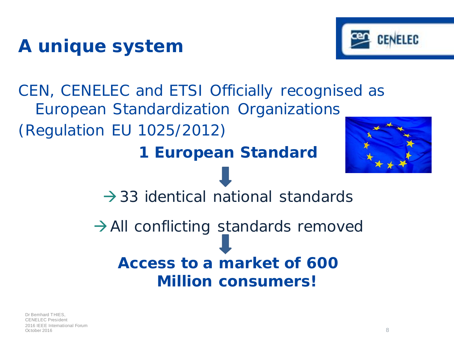### **A unique system**



CEN, CENELEC and ETSI Officially recognised as European Standardization Organizations (Regulation EU 1025/2012)

**1 European Standard**



 $\rightarrow$  33 identical national standards

 $\rightarrow$  All conflicting standards removed

**Access to a market of 600 Million consumers!**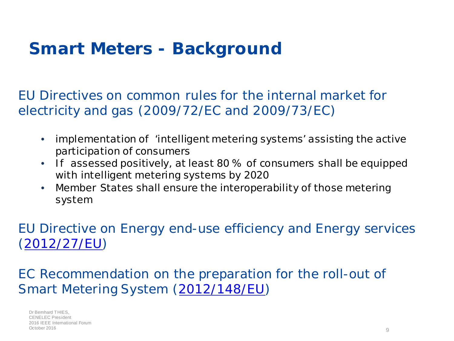#### **Smart Meters - Background**

EU Directives on common rules for the internal market for electricity and gas (2009/72/EC and 2009/73/EC)

- implementation of 'intelligent metering systems' assisting the active participation of consumers
- If assessed positively, at least 80 % of consumers shall be equipped with intelligent metering systems by 2020
- Member States shall ensure the interoperability of those metering system

EU Directive on Energy end-use efficiency and Energy services (2012/27/EU)

EC Recommendation on the preparation for the roll-out of Smart Metering System (2012/148/EU)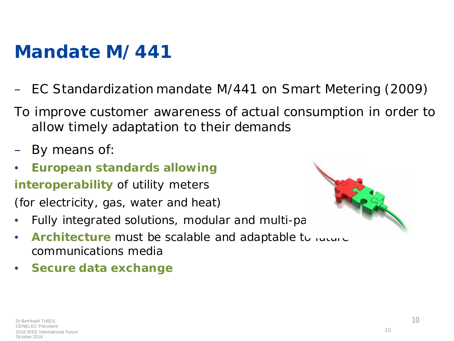#### **Mandate M/441**

- EC Standardization mandate M/441 on Smart Metering (2009)
- To improve customer awareness of actual consumption in order to allow timely adaptation to their demands
- By means of:
- **European standards allowing interoperability** of utility meters (for electricity, gas, water and heat)
- Fully integrated solutions, modular and multi-part solutions.
- Architecture must be scalable and adaptable to *interestance* communications media
- **Secure data exchange**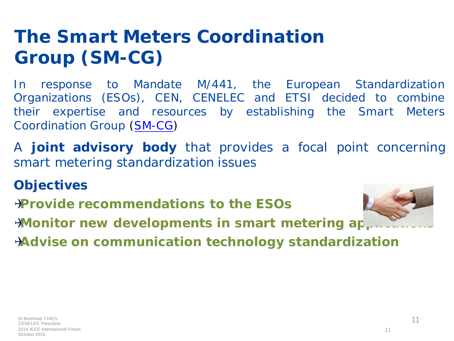# The Smart Meters Coordination **Group (SM-CG)**

In response to Mandate M/441, the European Standardization Organizations (ESOs), CEN, CENELEC and ETSI decided to combine their expertise and resources by establishing the Smart Meters Coordination Group (SM-CG)

A **joint advisory body** that provides a focal point concerning smart metering standardization issues

**Objectives**

Q**Provide recommendations to the ESOs**



**Monitor new developments in smart metering applications** 

**Advise on communication technology standardization**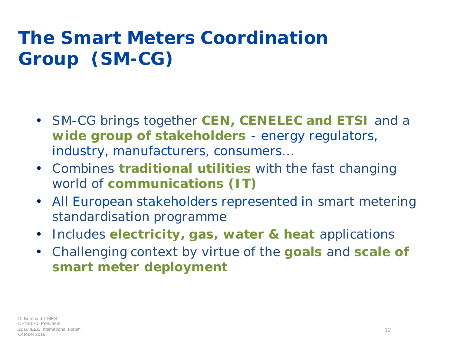# **The Smart Meters Coordination Group (SM-CG)**

- SM-CG brings together **CEN, CENELEC and ETSI** and a **wide group of stakeholders** - energy regulators, industry, manufacturers, consumers...
- Combines **traditional utilities** with the fast changing world of **communications (IT)**
- All European stakeholders represented in smart metering standardisation programme
- Includes **electricity, gas, water & heat** applications
- Challenging context by virtue of the **goals** and **scale of smart meter deployment**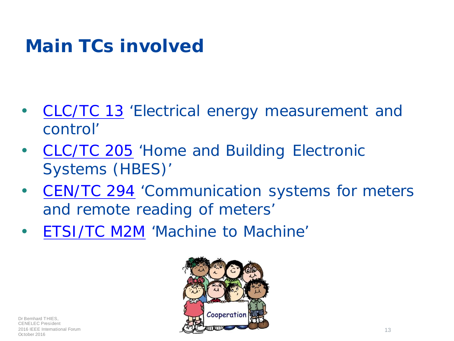# **Main TCs involved**

- CLC/TC 13 'Electrical energy measurement and control'
- CLC/TC 205 'Home and Building Electronic Systems (HBES)'
- CEN/TC 294 'Communication systems for meters and remote reading of meters'
- ETSI/TC M2M 'Machine to Machine'

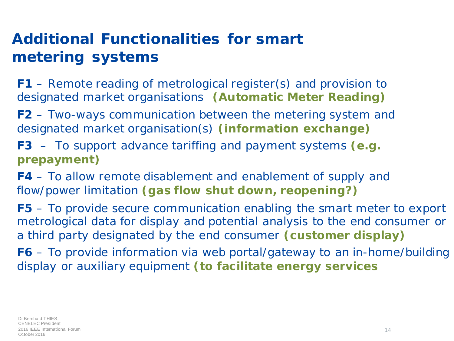#### **Additional Functionalities for smart metering systems**

**F1** – Remote reading of metrological register(s) and provision to designated market organisations *(Automatic Meter Reading)*

**F2** – Two-ways communication between the metering system and designated market organisation(s) *(information exchange)*

**F3** – To support advance tariffing and payment systems *(e.g. prepayment)*

**F4** – To allow remote disablement and enablement of supply and flow/power limitation *(gas flow shut down, reopening?)*

**F5** – To provide secure communication enabling the smart meter to export metrological data for display and potential analysis to the end consumer or a third party designated by the end consumer *(customer display)*

**F6** – To provide information via web portal/gateway to an in-home/building display or auxiliary equipment *(to facilitate energy services*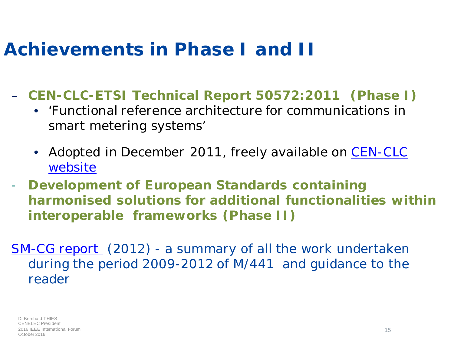#### **Achievements in Phase I and II**

- **CEN-CLC-ETSI Technical Report 50572:2011 (Phase I)**
	- 'Functional reference architecture for communications in smart metering systems'
	- Adopted in December 2011, freely available on CEN-CLC website
- **Development of European Standards containing harmonised solutions for additional functionalities within interoperable frameworks (Phase II)**

SM-CG report (2012) - a summary of all the work undertaken during the period 2009-2012 of M/441 and guidance to the reader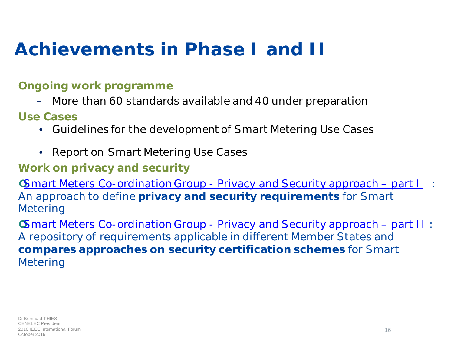## **Achievements in Phase I and II**

#### **Ongoing work programme**

– More than 60 standards available and 40 under preparation

**Use Cases**

- Guidelines for the development of Smart Metering Use Cases
- Report on Smart Metering Use Cases

#### **Work on privacy and security**

**EXMART MARTIC CO-ORDINATION GROUP - Privacy and Security approach – part I** : An approach to define **privacy and security requirements** for Smart **Metering** 

**EXMART MARTIC CO-ORDINATION GROUP - Privacy and Security approach – part II:** A repository of requirements applicable in different Member States and **compares approaches on security certification schemes** for Smart **Metering**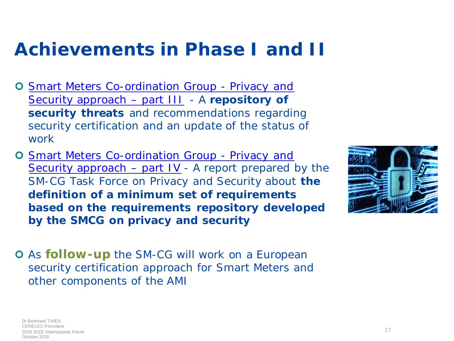#### **Achievements in Phase I and II**

- **O** Smart Meters Co-ordination Group Privacy and Security approach – part III - A **repository of security threats** and recommendations regarding security certification and an update of the status of work
- **O** Smart Meters Co-ordination Group Privacy and Security approach – part  $IV$  - A report prepared by the SM-CG Task Force on Privacy and Security about **the definition of a minimum set of requirements based on the requirements repository developed by the SMCG on privacy and security**
- **O** As follow-up the SM-CG will work on a European security certification approach for Smart Meters and other components of the AMI

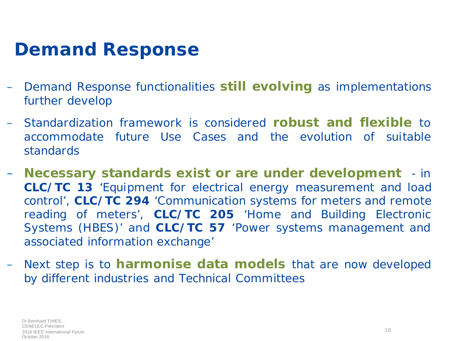#### **Demand Response**

- Demand Response functionalities **still evolving** as implementations further develop
- Standardization framework is considered **robust and flexible** to accommodate future Use Cases and the evolution of suitable standards
- **Necessary standards exist or are under development** in **CLC/TC 13** 'Equipment for electrical energy measurement and load control', **CLC/TC 294** 'Communication systems for meters and remote reading of meters', **CLC/TC 205** 'Home and Building Electronic Systems (HBES)' and **CLC/TC 57** 'Power systems management and associated information exchange'
- Next step is to **harmonise data models** that are now developed by different industries and Technical Committees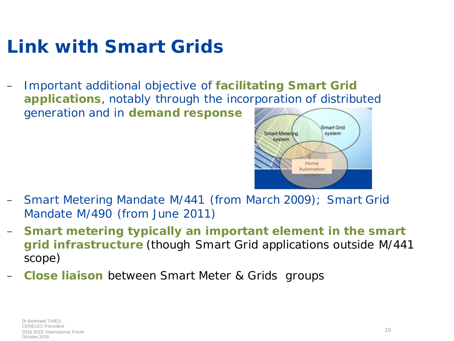### **Link with Smart Grids**

– Important additional objective of **facilitating Smart Grid applications**, notably through the incorporation of distributed generation and in **demand response**



- Smart Metering Mandate M/441 (from March 2009); Smart Grid Mandate M/490 (from June 2011)
- **Smart metering typically an important element in the smart grid infrastructure** (though Smart Grid applications outside M/441 scope)
- **Close liaison** between Smart Meter & Grids groups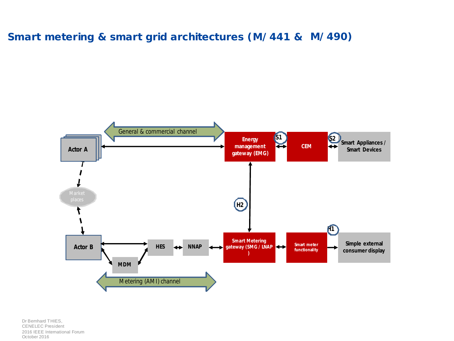#### **Smart metering & smart grid architectures (M/441 & M/490)**

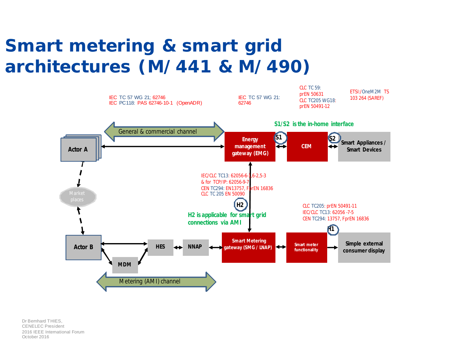#### **Smart metering & smart grid architectures (M/441 & M/490)**

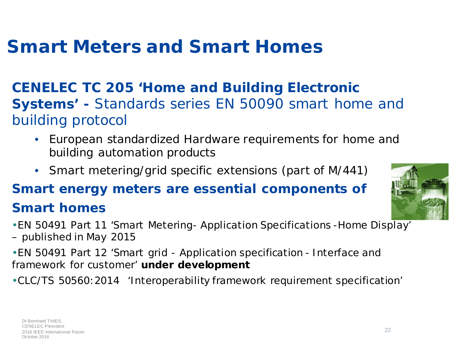#### **Smart Meters and Smart Homes**

**CENELEC TC 205 'Home and Building Electronic Systems' -** Standards series EN 50090 smart home and building protocol

- European standardized Hardware requirements for home and building automation products
- Smart metering/grid specific extensions (part of M/441)

**Smart energy meters are essential components of**

**Smart homes**

•EN 50491 Part 11 'Smart Metering- Application Specifications -Home Display' – published in May 2015

•EN 50491 Part 12 'Smart grid - Application specification - Interface and framework for customer' **under development**

•CLC/TS 50560:2014 'Interoperability framework requirement specification'

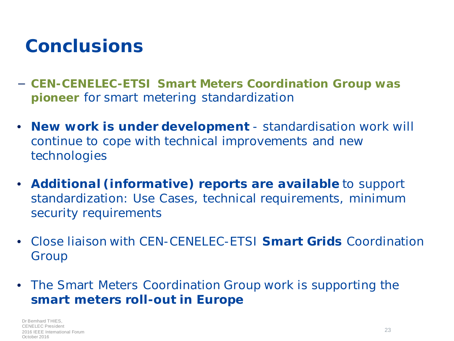### **Conclusions**

- − **CEN-CENELEC-ETSI Smart Meters Coordination Group was pioneer** for smart metering standardization
- **New work is under development** standardisation work will continue to cope with technical improvements and new technologies
- **Additional (informative) reports are available** to support standardization: Use Cases, technical requirements, minimum security requirements
- Close liaison with CEN-CENELEC-ETSI **Smart Grids** Coordination Group
- The Smart Meters Coordination Group work is supporting the **smart meters roll-out in Europe**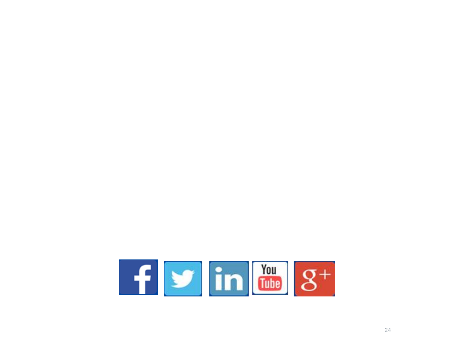